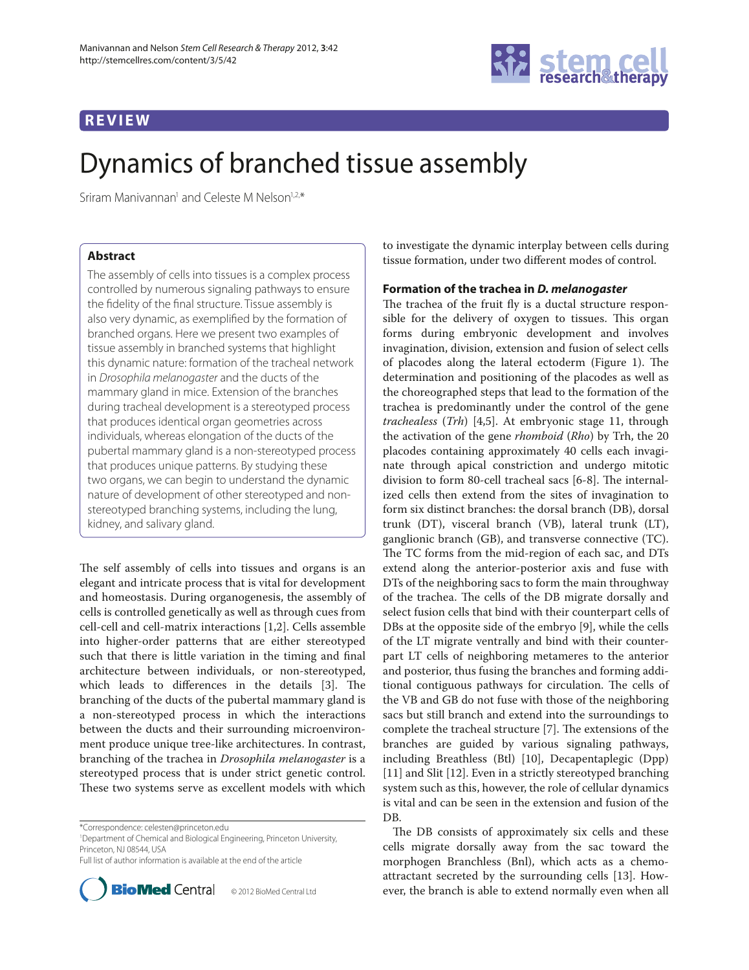

## **REVIEW**

# Dynamics of branched tissue assembly

Sriram Manivannan<sup>1</sup> and Celeste M Nelson<sup>1,2,\*</sup>

## **Abstract**

The assembly of cells into tissues is a complex process controlled by numerous signaling pathways to ensure the fidelity of the final structure. Tissue assembly is also very dynamic, as exemplified by the formation of branched organs. Here we present two examples of tissue assembly in branched systems that highlight this dynamic nature: formation of the tracheal network in Drosophila melanogaster and the ducts of the mammary gland in mice. Extension of the branches during tracheal development is a stereotyped process that produces identical organ geometries across individuals, whereas elongation of the ducts of the pubertal mammary gland is a non-stereotyped process that produces unique patterns. By studying these two organs, we can begin to understand the dynamic nature of development of other stereotyped and nonstereotyped branching systems, including the lung, kidney, and salivary gland.

The self assembly of cells into tissues and organs is an elegant and intricate process that is vital for development and homeostasis. During organogenesis, the assembly of cells is controlled genetically as well as through cues from cell-cell and cell-matrix interactions [1,2]. Cells assemble into higher-order patterns that are either stereotyped such that there is little variation in the timing and final architecture between individuals, or non-stereotyped, which leads to differences in the details  $[3]$ . The branching of the ducts of the pubertal mammary gland is a non-stereotyped process in which the interactions between the ducts and their surrounding microenvironment produce unique tree-like architectures. In contrast, branching of the trachea in *Drosophila melanogaster* is a stereotyped process that is under strict genetic control. These two systems serve as excellent models with which

\*Correspondence: celesten@princeton.edu

1 Department of Chemical and Biological Engineering, Princeton University, Princeton, NJ 08544, USA

Full list of author information is available at the end of the article



to investigate the dynamic interplay between cells during tissue formation, under two different modes of control.

## **Formation of the trachea in** *D. melanogaster*

The trachea of the fruit fly is a ductal structure responsible for the delivery of oxygen to tissues. This organ forms during embryonic development and involves invagination, division, extension and fusion of select cells of placodes along the lateral ectoderm (Figure 1). The determination and positioning of the placodes as well as the choreographed steps that lead to the formation of the trachea is predominantly under the control of the gene *trachealess* (*Trh*) [4,5]. At embryonic stage 11, through the activation of the gene *rhomboid* (*Rho*) by Trh, the 20 placodes containing approximately 40 cells each invaginate through apical constriction and undergo mitotic division to form 80-cell tracheal sacs [6-8]. The internalized cells then extend from the sites of invagination to form six distinct branches: the dorsal branch (DB), dorsal trunk (DT), visceral branch (VB), lateral trunk (LT), ganglionic branch (GB), and transverse connective (TC). The TC forms from the mid-region of each sac, and DTs extend along the anterior-posterior axis and fuse with DTs of the neighboring sacs to form the main throughway of the trachea. The cells of the DB migrate dorsally and select fusion cells that bind with their counterpart cells of DBs at the opposite side of the embryo [9], while the cells of the LT migrate ventrally and bind with their counterpart LT cells of neighboring metameres to the anterior and posterior, thus fusing the branches and forming additional contiguous pathways for circulation. The cells of the VB and GB do not fuse with those of the neighboring sacs but still branch and extend into the surroundings to complete the tracheal structure [7]. The extensions of the branches are guided by various signaling pathways, including Breathless (Btl) [10], Decapentaplegic (Dpp) [11] and Slit [12]. Even in a strictly stereotyped branching system such as this, however, the role of cellular dynamics is vital and can be seen in the extension and fusion of the DB.

The DB consists of approximately six cells and these cells migrate dorsally away from the sac toward the morphogen Branchless (Bnl), which acts as a chemoattractant secreted by the surrounding cells [13]. However, the branch is able to extend normally even when all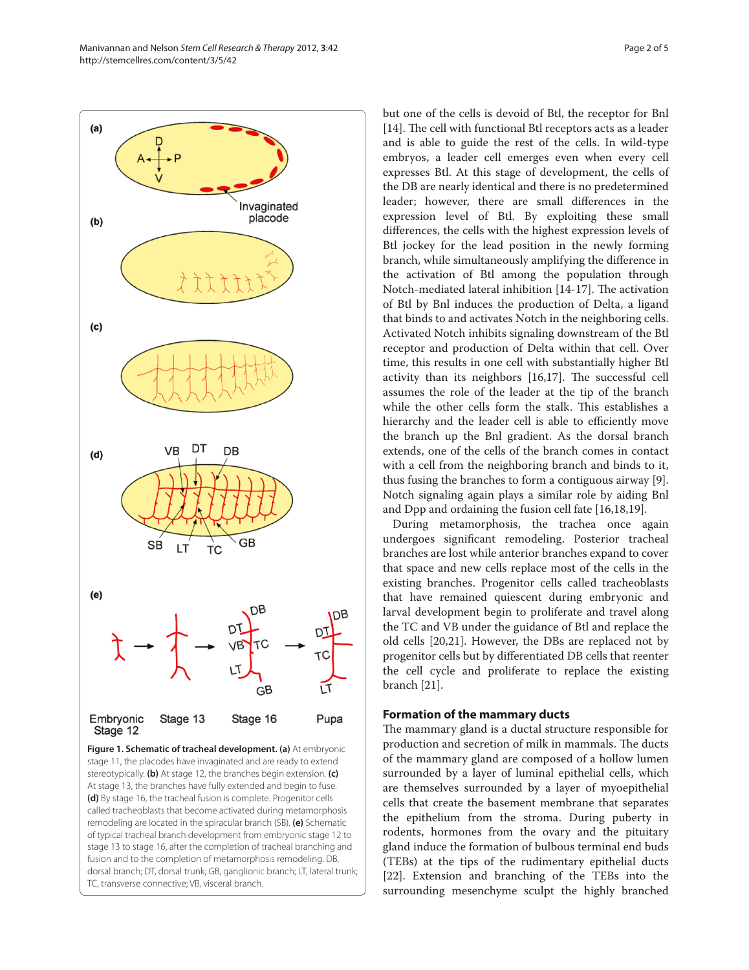

**Figure 1. Schematic of tracheal development. (a)** At embryonic stage 11, the placodes have invaginated and are ready to extend stereotypically. **(b)** At stage 12, the branches begin extension. **(c)** At stage 13, the branches have fully extended and begin to fuse. **(d)** By stage 16, the tracheal fusion is complete. Progenitor cells called tracheoblasts that become activated during metamorphosis remodeling are located in the spiracular branch (SB). **(e)** Schematic of typical tracheal branch development from embryonic stage 12 to stage 13 to stage 16, after the completion of tracheal branching and fusion and to the completion of metamorphosis remodeling. DB, dorsal branch; DT, dorsal trunk; GB, ganglionic branch; LT, lateral trunk; TC, transverse connective; VB, visceral branch.

but one of the cells is devoid of Btl, the receptor for Bnl [14]. The cell with functional Btl receptors acts as a leader and is able to guide the rest of the cells. In wild-type embryos, a leader cell emerges even when every cell expresses Btl. At this stage of development, the cells of the DB are nearly identical and there is no predetermined leader; however, there are small differences in the expression level of Btl. By exploiting these small differences, the cells with the highest expression levels of Btl jockey for the lead position in the newly forming branch, while simultaneously amplifying the difference in the activation of Btl among the population through Notch-mediated lateral inhibition [14-17]. The activation of Btl by Bnl induces the production of Delta, a ligand that binds to and activates Notch in the neighboring cells. Activated Notch inhibits signaling downstream of the Btl receptor and production of Delta within that cell. Over time, this results in one cell with substantially higher Btl activity than its neighbors  $[16,17]$ . The successful cell assumes the role of the leader at the tip of the branch while the other cells form the stalk. This establishes a hierarchy and the leader cell is able to efficiently move the branch up the Bnl gradient. As the dorsal branch extends, one of the cells of the branch comes in contact with a cell from the neighboring branch and binds to it, thus fusing the branches to form a contiguous airway [9]. Notch signaling again plays a similar role by aiding Bnl and Dpp and ordaining the fusion cell fate [16,18,19].

During metamorphosis, the trachea once again undergoes significant remodeling. Posterior tracheal branches are lost while anterior branches expand to cover that space and new cells replace most of the cells in the existing branches. Progenitor cells called tracheoblasts that have remained quiescent during embryonic and larval development begin to proliferate and travel along the TC and VB under the guidance of Btl and replace the old cells [20,21]. However, the DBs are replaced not by progenitor cells but by differentiated DB cells that reenter the cell cycle and proliferate to replace the existing branch [21].

## **Formation of the mammary ducts**

The mammary gland is a ductal structure responsible for production and secretion of milk in mammals. The ducts of the mammary gland are composed of a hollow lumen surrounded by a layer of luminal epithelial cells, which are themselves surrounded by a layer of myoepithelial cells that create the basement membrane that separates the epithelium from the stroma. During puberty in rodents, hormones from the ovary and the pituitary gland induce the formation of bulbous terminal end buds (TEBs) at the tips of the rudimentary epithelial ducts [22]. Extension and branching of the TEBs into the surrounding mesenchyme sculpt the highly branched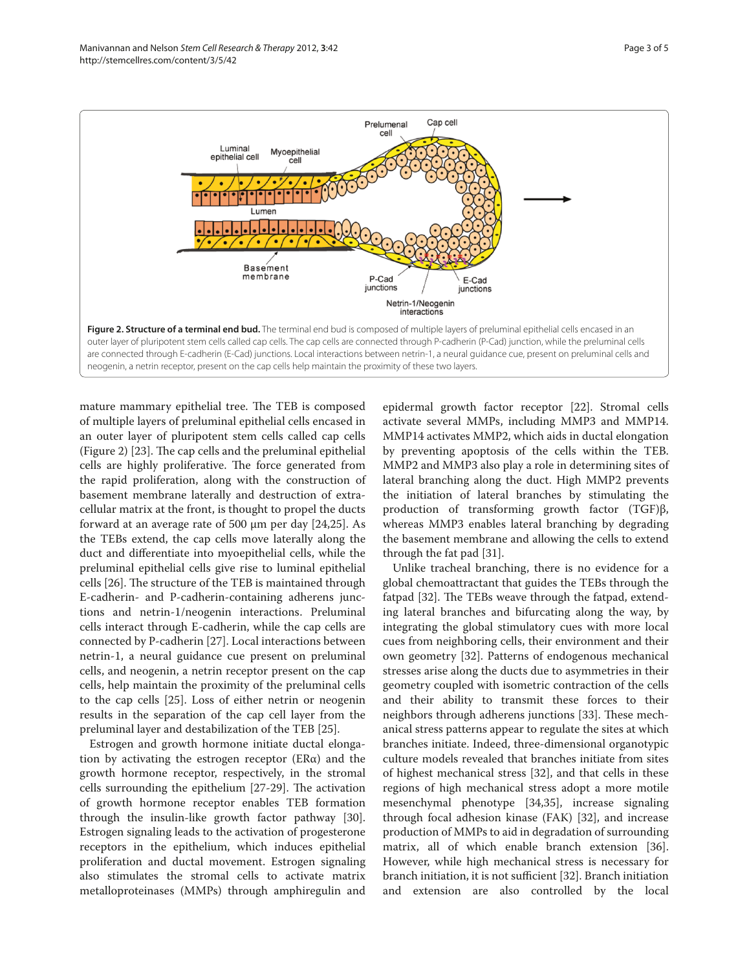

mature mammary epithelial tree. The TEB is composed of multiple layers of preluminal epithelial cells encased in an outer layer of pluripotent stem cells called cap cells (Figure 2)  $[23]$ . The cap cells and the preluminal epithelial cells are highly proliferative. The force generated from the rapid proliferation, along with the construction of basement membrane laterally and destruction of extracellular matrix at the front, is thought to propel the ducts forward at an average rate of 500 μm per day [24,25]. As the TEBs extend, the cap cells move laterally along the duct and differentiate into myoepithelial cells, while the preluminal epithelial cells give rise to luminal epithelial cells [26]. The structure of the TEB is maintained through E-cadherin- and P-cadherin-containing adherens junctions and netrin-1/neogenin interactions. Preluminal cells interact through E-cadherin, while the cap cells are connected by P-cadherin [27]. Local interactions between netrin-1, a neural guidance cue present on preluminal cells, and neogenin, a netrin receptor present on the cap cells, help maintain the proximity of the preluminal cells to the cap cells [25]. Loss of either netrin or neogenin results in the separation of the cap cell layer from the preluminal layer and destabilization of the TEB [25].

Estrogen and growth hormone initiate ductal elongation by activating the estrogen receptor ( $ER\alpha$ ) and the growth hormone receptor, respectively, in the stromal cells surrounding the epithelium  $[27-29]$ . The activation of growth hormone receptor enables TEB formation through the insulin-like growth factor pathway [30]. Estrogen signaling leads to the activation of progesterone receptors in the epithelium, which induces epithelial proliferation and ductal movement. Estrogen signaling also stimulates the stromal cells to activate matrix metalloproteinases (MMPs) through amphiregulin and

epidermal growth factor receptor [22]. Stromal cells activate several MMPs, including MMP3 and MMP14. MMP14 activates MMP2, which aids in ductal elongation by preventing apoptosis of the cells within the TEB. MMP2 and MMP3 also play a role in determining sites of lateral branching along the duct. High MMP2 prevents the initiation of lateral branches by stimulating the production of transforming growth factor (TGF)β, whereas MMP3 enables lateral branching by degrading the basement membrane and allowing the cells to extend through the fat pad [31].

Unlike tracheal branching, there is no evidence for a global chemoattractant that guides the TEBs through the fatpad [32]. The TEBs weave through the fatpad, extending lateral branches and bifurcating along the way, by integrating the global stimulatory cues with more local cues from neighboring cells, their environment and their own geometry [32]. Patterns of endogenous mechanical stresses arise along the ducts due to asymmetries in their geometry coupled with isometric contraction of the cells and their ability to transmit these forces to their neighbors through adherens junctions [33]. These mechanical stress patterns appear to regulate the sites at which branches initiate. Indeed, three-dimensional organotypic culture models revealed that branches initiate from sites of highest mechanical stress [32], and that cells in these regions of high mechanical stress adopt a more motile mesenchymal phenotype [34,35], increase signaling through focal adhesion kinase (FAK) [32], and increase production of MMPs to aid in degradation of surrounding matrix, all of which enable branch extension [36]. However, while high mechanical stress is necessary for branch initiation, it is not sufficient [32]. Branch initiation and extension are also controlled by the local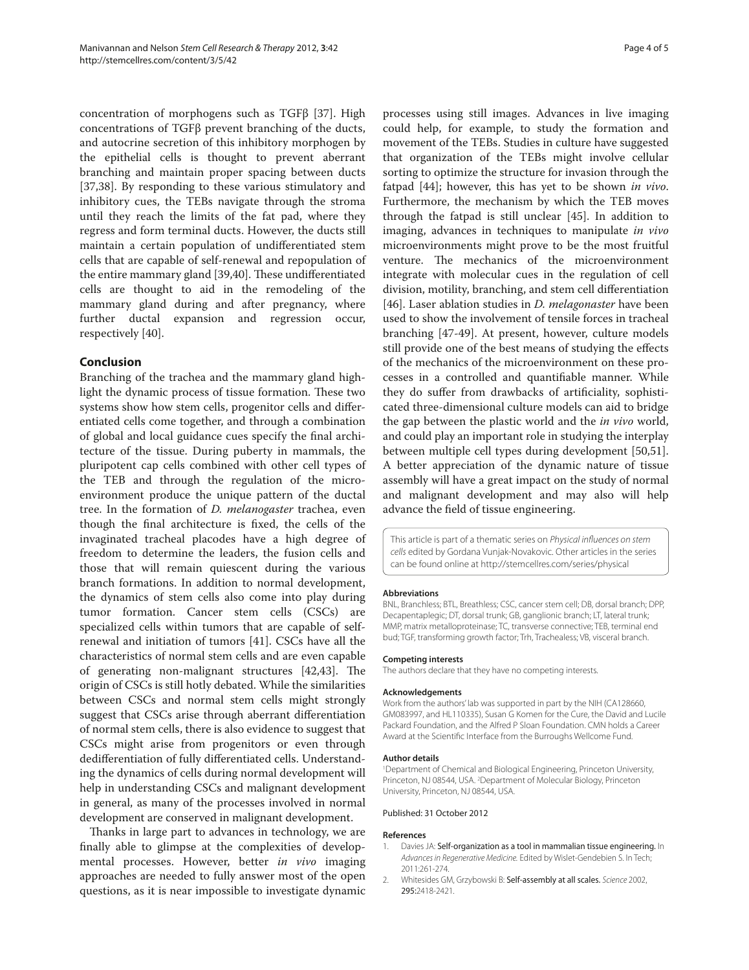concentration of morphogens such as TGF $\beta$  [37]. High con centrations of TGFβ prevent branching of the ducts, and autocrine secretion of this inhibitory morphogen by the epithelial cells is thought to prevent aberrant branching and maintain proper spacing between ducts [37,38]. By responding to these various stimulatory and inhibitory cues, the TEBs navigate through the stroma until they reach the limits of the fat pad, where they regress and form terminal ducts. However, the ducts still maintain a certain population of undifferentiated stem cells that are capable of self-renewal and repopulation of the entire mammary gland [39,40]. These undifferentiated cells are thought to aid in the remodeling of the mammary gland during and after pregnancy, where further ductal expansion and regression occur, respectively [40].

## **Conclusion**

Branching of the trachea and the mammary gland highlight the dynamic process of tissue formation. These two systems show how stem cells, progenitor cells and differentiated cells come together, and through a combination of global and local guidance cues specify the final architecture of the tissue. During puberty in mammals, the pluripotent cap cells combined with other cell types of the TEB and through the regulation of the microenvironment produce the unique pattern of the ductal tree. In the formation of *D. melanogaster* trachea, even though the final architecture is fixed, the cells of the invaginated tracheal placodes have a high degree of freedom to determine the leaders, the fusion cells and those that will remain quiescent during the various branch formations. In addition to normal development, the dynamics of stem cells also come into play during tumor formation. Cancer stem cells (CSCs) are specialized cells within tumors that are capable of selfrenewal and initiation of tumors [41]. CSCs have all the characteristics of normal stem cells and are even capable of generating non-malignant structures [42,43]. The origin of CSCs is still hotly debated. While the similarities between CSCs and normal stem cells might strongly suggest that CSCs arise through aberrant differentiation of normal stem cells, there is also evidence to suggest that CSCs might arise from progenitors or even through dedifferentiation of fully differentiated cells. Understanding the dynamics of cells during normal development will help in understanding CSCs and malignant development in general, as many of the processes involved in normal development are conserved in malignant development.

Thanks in large part to advances in technology, we are finally able to glimpse at the complexities of developmental processes. However, better *in vivo* imaging approaches are needed to fully answer most of the open questions, as it is near impossible to investigate dynamic

processes using still images. Advances in live imaging could help, for example, to study the formation and movement of the TEBs. Studies in culture have suggested that organization of the TEBs might involve cellular sorting to optimize the structure for invasion through the fatpad [44]; however, this has yet to be shown *in vivo*. Furthermore, the mechanism by which the TEB moves through the fatpad is still unclear [45]. In addition to imaging, advances in techniques to manipulate *in vivo* microenvironments might prove to be the most fruitful venture. The mechanics of the microenvironment integrate with molecular cues in the regulation of cell division, motility, branching, and stem cell differentiation [46]. Laser ablation studies in *D. melagonaster* have been used to show the involvement of tensile forces in tracheal branching [47-49]. At present, however, culture models still provide one of the best means of studying the effects of the mechanics of the microenvironment on these processes in a controlled and quantifiable manner. While they do suffer from drawbacks of artificiality, sophisticated three-dimensional culture models can aid to bridge the gap between the plastic world and the *in vivo* world, and could play an important role in studying the interplay between multiple cell types during development [50,51]. A better appreciation of the dynamic nature of tissue assembly will have a great impact on the study of normal and malignant development and may also will help advance the field of tissue engineering.

This article is part of a thematic series on Physical influences on stem cells edited by Gordana Vunjak-Novakovic. Other articles in the series can be found online at http://stemcellres.com/series/physical

#### **Abbreviations**

BNL, Branchless; BTL, Breathless; CSC, cancer stem cell; DB, dorsal branch; DPP, Decapentaplegic; DT, dorsal trunk; GB, ganglionic branch; LT, lateral trunk; MMP, matrix metalloproteinase; TC, transverse connective; TEB, terminal end bud; TGF, transforming growth factor; Trh, Trachealess; VB, visceral branch.

#### **Competing interests**

The authors declare that they have no competing interests.

#### **Acknowledgements**

Work from the authors' lab was supported in part by the NIH (CA128660, GM083997, and HL110335), Susan G Komen for the Cure, the David and Lucile Packard Foundation, and the Alfred P Sloan Foundation. CMN holds a Career Award at the Scientific Interface from the Burroughs Wellcome Fund.

#### **Author details**

1 Department of Chemical and Biological Engineering, Princeton University, Princeton, NJ 08544, USA. <sup>2</sup>Department of Molecular Biology, Princeton University, Princeton, NJ 08544, USA.

#### Published: 31 October 2012

#### **References**

- 1. Davies JA: Self-organization as a tool in mammalian tissue engineering. In Advances in Regenerative Medicine. Edited by Wislet-Gendebien S. In Tech; 2011:261-274.
- 2. Whitesides GM, Grzybowski B: Self-assembly at all scales. Science 2002, 295:2418-2421.